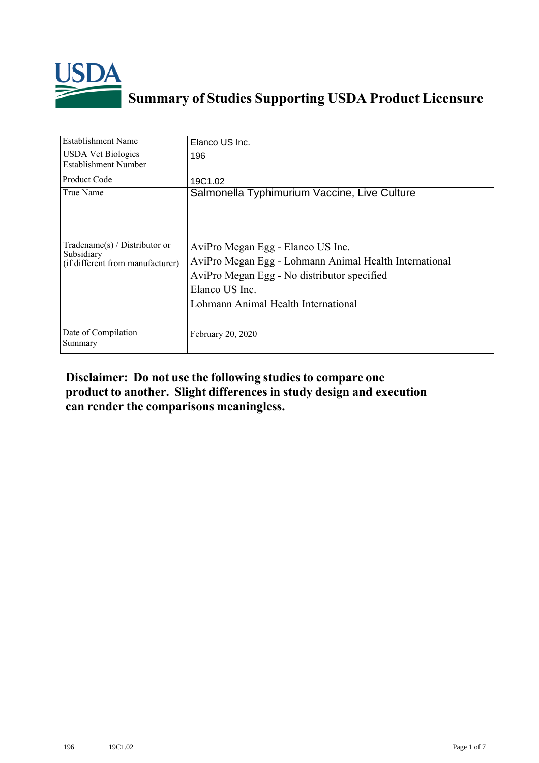

## **Summary of Studies Supporting USDA Product Licensure**

| <b>Establishment Name</b>                                                       | Elanco US Inc.                                                                                                                                                                                      |
|---------------------------------------------------------------------------------|-----------------------------------------------------------------------------------------------------------------------------------------------------------------------------------------------------|
| <b>USDA Vet Biologics</b><br>Establishment Number                               | 196                                                                                                                                                                                                 |
| Product Code                                                                    | 19C1.02                                                                                                                                                                                             |
| True Name                                                                       | Salmonella Typhimurium Vaccine, Live Culture                                                                                                                                                        |
| Tradename(s) / Distributor or<br>Subsidiary<br>(if different from manufacturer) | AviPro Megan Egg - Elanco US Inc.<br>AviPro Megan Egg - Lohmann Animal Health International<br>AviPro Megan Egg - No distributor specified<br>Elanco US Inc.<br>Lohmann Animal Health International |
| Date of Compilation<br>Summary                                                  | February 20, 2020                                                                                                                                                                                   |

## **Disclaimer: Do not use the following studiesto compare one product to another. Slight differencesin study design and execution can render the comparisons meaningless.**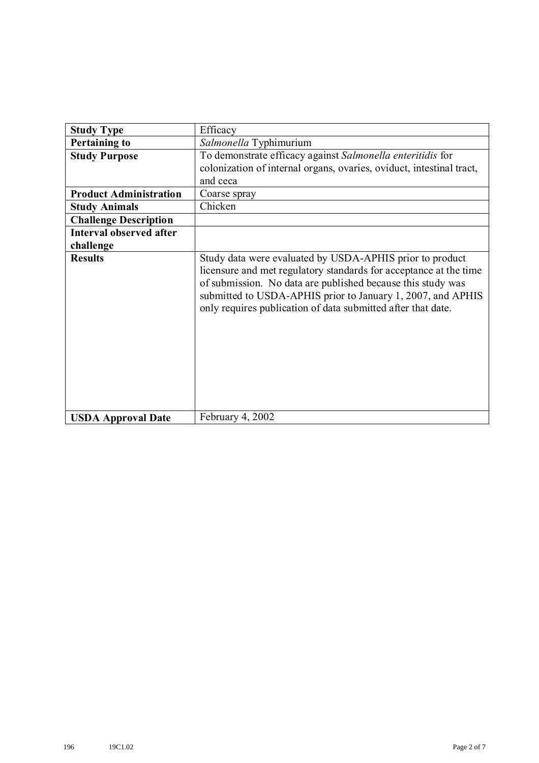| <b>Study Type</b>              | Efficacy                                                                                                                                                                                                                                                                                                                    |
|--------------------------------|-----------------------------------------------------------------------------------------------------------------------------------------------------------------------------------------------------------------------------------------------------------------------------------------------------------------------------|
| <b>Pertaining to</b>           | Salmonella Typhimurium                                                                                                                                                                                                                                                                                                      |
| <b>Study Purpose</b>           | To demonstrate efficacy against Salmonella enteritidis for<br>colonization of internal organs, ovaries, oviduct, intestinal tract,<br>and ceca                                                                                                                                                                              |
| <b>Product Administration</b>  | Coarse spray                                                                                                                                                                                                                                                                                                                |
| <b>Study Animals</b>           | Chicken                                                                                                                                                                                                                                                                                                                     |
| <b>Challenge Description</b>   |                                                                                                                                                                                                                                                                                                                             |
| <b>Interval observed after</b> |                                                                                                                                                                                                                                                                                                                             |
| challenge                      |                                                                                                                                                                                                                                                                                                                             |
| <b>Results</b>                 | Study data were evaluated by USDA-APHIS prior to product<br>licensure and met regulatory standards for acceptance at the time<br>of submission. No data are published because this study was<br>submitted to USDA-APHIS prior to January 1, 2007, and APHIS<br>only requires publication of data submitted after that date. |
| <b>USDA Approval Date</b>      | February 4, 2002                                                                                                                                                                                                                                                                                                            |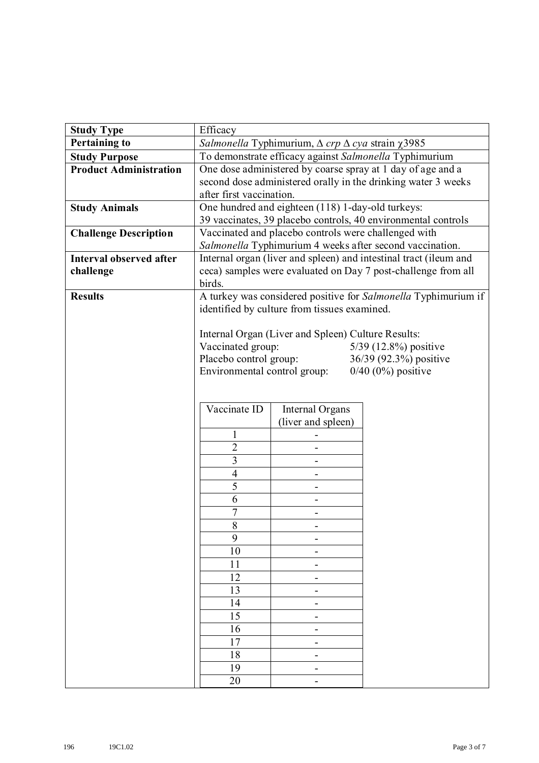| <b>Study Type</b>              | Efficacy                                                             |                                                    |                                                                |
|--------------------------------|----------------------------------------------------------------------|----------------------------------------------------|----------------------------------------------------------------|
| <b>Pertaining to</b>           | Salmonella Typhimurium, $\Delta$ crp $\Delta$ cya strain $\chi$ 3985 |                                                    |                                                                |
| <b>Study Purpose</b>           | To demonstrate efficacy against Salmonella Typhimurium               |                                                    |                                                                |
| <b>Product Administration</b>  | One dose administered by coarse spray at 1 day of age and a          |                                                    |                                                                |
|                                |                                                                      |                                                    | second dose administered orally in the drinking water 3 weeks  |
|                                | after first vaccination.                                             |                                                    |                                                                |
| <b>Study Animals</b>           |                                                                      | One hundred and eighteen (118) 1-day-old turkeys:  |                                                                |
|                                |                                                                      |                                                    | 39 vaccinates, 39 placebo controls, 40 environmental controls  |
| <b>Challenge Description</b>   | Vaccinated and placebo controls were challenged with                 |                                                    |                                                                |
|                                |                                                                      |                                                    | Salmonella Typhimurium 4 weeks after second vaccination.       |
| <b>Interval observed after</b> | Internal organ (liver and spleen) and intestinal tract (ileum and    |                                                    |                                                                |
| challenge                      | ceca) samples were evaluated on Day 7 post-challenge from all        |                                                    |                                                                |
|                                | birds.                                                               |                                                    |                                                                |
| <b>Results</b>                 |                                                                      |                                                    | A turkey was considered positive for Salmonella Typhimurium if |
|                                |                                                                      | identified by culture from tissues examined.       |                                                                |
|                                |                                                                      | Internal Organ (Liver and Spleen) Culture Results: |                                                                |
|                                | Vaccinated group:                                                    |                                                    | 5/39 (12.8%) positive                                          |
|                                | Placebo control group:<br>36/39 (92.3%) positive                     |                                                    |                                                                |
|                                | $0/40$ (0%) positive<br>Environmental control group:                 |                                                    |                                                                |
|                                |                                                                      |                                                    |                                                                |
|                                |                                                                      |                                                    |                                                                |
|                                | Vaccinate ID                                                         | Internal Organs                                    |                                                                |
|                                |                                                                      | (liver and spleen)                                 |                                                                |
|                                | 1                                                                    |                                                    |                                                                |
|                                | $\overline{2}$                                                       |                                                    |                                                                |
|                                | $\overline{3}$                                                       |                                                    |                                                                |
|                                | $\overline{4}$                                                       |                                                    |                                                                |
|                                | 5                                                                    |                                                    |                                                                |
|                                | 6                                                                    |                                                    |                                                                |
|                                | $\overline{7}$                                                       |                                                    |                                                                |
|                                | 8                                                                    |                                                    |                                                                |
|                                | 9                                                                    | -                                                  |                                                                |
|                                | 10                                                                   | $\overline{\phantom{a}}$                           |                                                                |
|                                | 11                                                                   | -                                                  |                                                                |
|                                | 12                                                                   | $\overline{\phantom{a}}$                           |                                                                |
|                                | 13                                                                   | -                                                  |                                                                |
|                                | 14                                                                   | -                                                  |                                                                |
|                                | 15                                                                   | $\qquad \qquad \blacksquare$                       |                                                                |
|                                | 16                                                                   | $\overline{\phantom{a}}$                           |                                                                |
|                                | 17                                                                   | -                                                  |                                                                |
|                                | 18                                                                   | -                                                  |                                                                |
|                                | 19                                                                   | -                                                  |                                                                |
|                                | 20                                                                   | -                                                  |                                                                |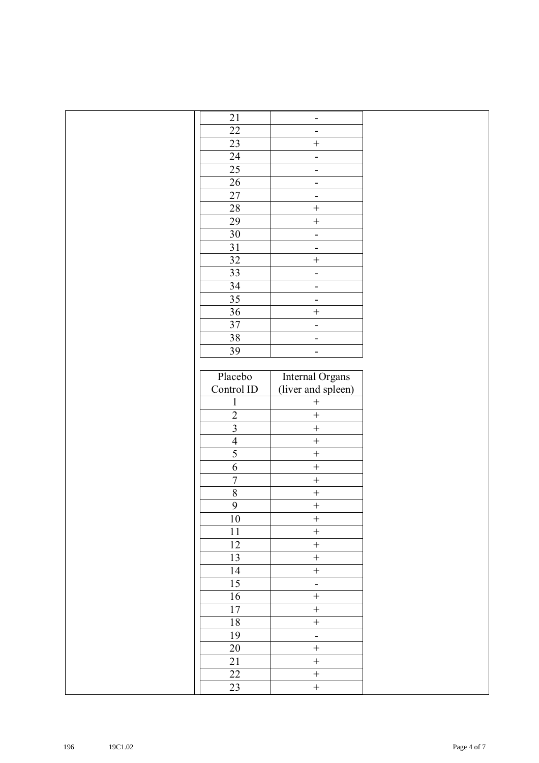| $21$                    | $\overline{\phantom{a}}$     |  |
|-------------------------|------------------------------|--|
| $\overline{22}$         | $\blacksquare$               |  |
| $\overline{23}$         | $\boldsymbol{+}$             |  |
| $\overline{24}$         | ÷,                           |  |
| 25                      | $\qquad \qquad \blacksquare$ |  |
| 26                      | $\overline{\phantom{m}}$     |  |
| $27\,$                  | $\qquad \qquad -$            |  |
| $28\,$                  | $\boldsymbol{+}$             |  |
| 29                      | $\boldsymbol{+}$             |  |
| $30\,$                  | $\overline{\phantom{0}}$     |  |
| $\overline{31}$         | $\qquad \qquad -$            |  |
| 32                      | $\qquad \qquad +$            |  |
| 33                      | -                            |  |
| 34                      | $\overline{\phantom{0}}$     |  |
| $\overline{35}$         | $\qquad \qquad -$            |  |
| 36                      | $\qquad \qquad +$            |  |
| $\overline{37}$         | $\overline{\phantom{0}}$     |  |
| 38                      | $\overline{\phantom{a}}$     |  |
| 39                      | $\qquad \qquad \blacksquare$ |  |
|                         |                              |  |
| Placebo                 | Internal Organs              |  |
| Control ID              | (liver and spleen)           |  |
| $\mathbf{1}$            | $\boldsymbol{+}$             |  |
| $\overline{2}$          | $\! + \!$                    |  |
| $\overline{\mathbf{3}}$ | $\boldsymbol{+}$             |  |
| $\overline{4}$          | $\! + \!$                    |  |
| $\overline{5}$          | $\qquad \qquad +$            |  |
| $\overline{6}$          | $\boldsymbol{+}$             |  |
| $\overline{7}$          | $\qquad \qquad +$            |  |
| $\overline{8}$          | $\! + \!$                    |  |
| $\overline{9}$          | $\qquad \qquad +$            |  |
| $10\,$                  | $\boldsymbol{+}$             |  |
| $11\,$                  | $\boldsymbol{+}$             |  |
| 12                      | $\boldsymbol{+}$             |  |
| 13                      | $\qquad \qquad +$            |  |
| 14                      | $\boldsymbol{+}$             |  |
| $\overline{15}$         | $\overline{\phantom{a}}$     |  |
| 16                      | $\boldsymbol{+}$             |  |
| $17\,$                  | $\qquad \qquad +$            |  |
| $18\,$                  | $\qquad \qquad +$            |  |
| 19                      | $\mathbb{L}$                 |  |
| $20\,$                  | $\boldsymbol{+}$             |  |
| 21                      | $\boldsymbol{+}$             |  |
| $\overline{22}$         | $\boldsymbol{+}$             |  |
| 23                      | $\boldsymbol{+}$             |  |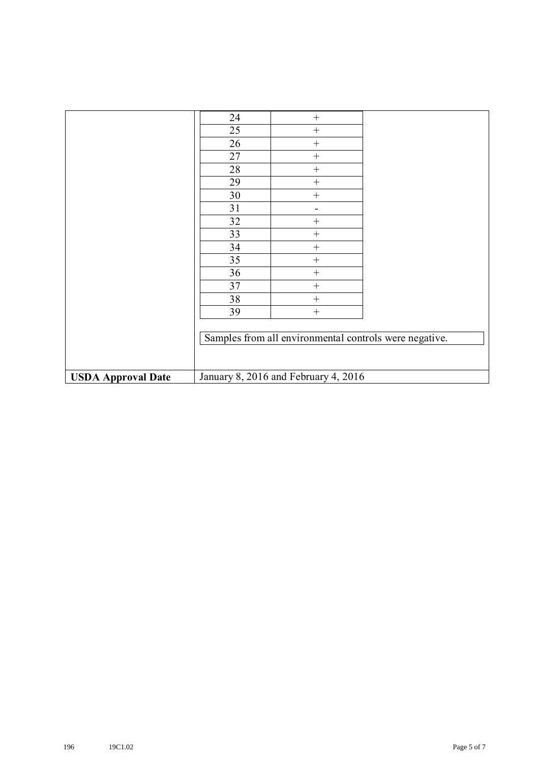|                           | 24 | $\! + \!$                                              |  |
|---------------------------|----|--------------------------------------------------------|--|
|                           | 25 | $^{+}$                                                 |  |
|                           | 26 | $^{+}$                                                 |  |
|                           | 27 | $^{+}$                                                 |  |
|                           | 28 |                                                        |  |
|                           | 29 |                                                        |  |
|                           | 30 | $\! + \!$                                              |  |
|                           | 31 | $\qquad \qquad \blacksquare$                           |  |
|                           | 32 | $^{+}$                                                 |  |
|                           | 33 | $^{+}$                                                 |  |
|                           | 34 |                                                        |  |
|                           | 35 | $^{+}$                                                 |  |
|                           | 36 |                                                        |  |
|                           | 37 |                                                        |  |
|                           | 38 |                                                        |  |
|                           | 39 | $^{+}$                                                 |  |
|                           |    |                                                        |  |
|                           |    | Samples from all environmental controls were negative. |  |
|                           |    |                                                        |  |
|                           |    |                                                        |  |
| <b>USDA Approval Date</b> |    | January 8, 2016 and February 4, 2016                   |  |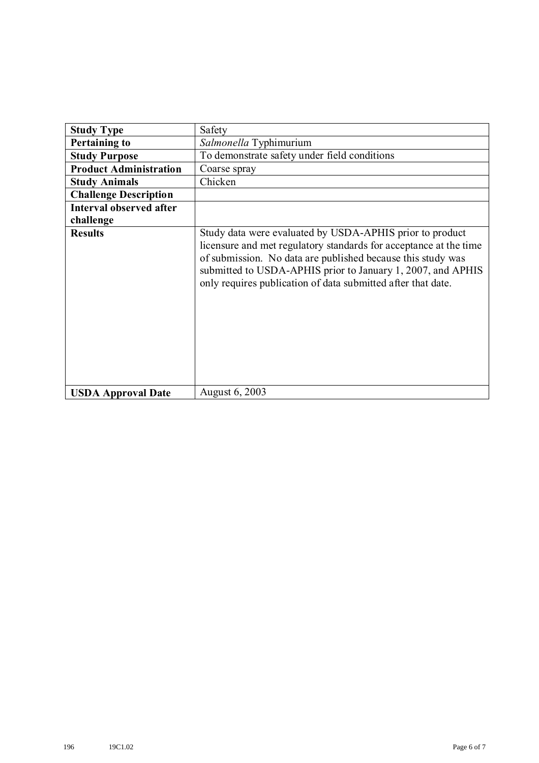| <b>Study Type</b>              | Safety                                                                                                                                                                                                                                                                                                                      |
|--------------------------------|-----------------------------------------------------------------------------------------------------------------------------------------------------------------------------------------------------------------------------------------------------------------------------------------------------------------------------|
| <b>Pertaining to</b>           | Salmonella Typhimurium                                                                                                                                                                                                                                                                                                      |
| <b>Study Purpose</b>           | To demonstrate safety under field conditions                                                                                                                                                                                                                                                                                |
| <b>Product Administration</b>  | Coarse spray                                                                                                                                                                                                                                                                                                                |
| <b>Study Animals</b>           | Chicken                                                                                                                                                                                                                                                                                                                     |
| <b>Challenge Description</b>   |                                                                                                                                                                                                                                                                                                                             |
| <b>Interval observed after</b> |                                                                                                                                                                                                                                                                                                                             |
| challenge                      |                                                                                                                                                                                                                                                                                                                             |
| <b>Results</b>                 | Study data were evaluated by USDA-APHIS prior to product<br>licensure and met regulatory standards for acceptance at the time<br>of submission. No data are published because this study was<br>submitted to USDA-APHIS prior to January 1, 2007, and APHIS<br>only requires publication of data submitted after that date. |
| <b>USDA Approval Date</b>      | August 6, 2003                                                                                                                                                                                                                                                                                                              |